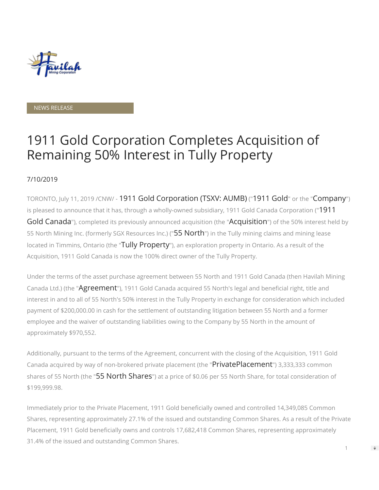

#### NEWS RELEASE

# 1911 Gold Corporation Completes Acquisition of Remaining 50% Interest in Tully Property

### 7/10/2019

TORONTO, July 11, 2019 /CNW/ - 1911 Gold Corporation (TSXV: AUMB) ("1911 Gold" or the "Company") is pleased to announce that it has, through a wholly-owned subsidiary, 1911 Gold Canada Corporation ("1911 Gold Canada"), completed its previously announced acquisition (the "Acquisition") of the 50% interest held by 55 North Mining Inc. (formerly SGX Resources Inc.) ("55 North") in the Tully mining claims and mining lease located in Timmins, Ontario (the "Tully Property"), an exploration property in Ontario. As a result of the Acquisition, 1911 Gold Canada is now the 100% direct owner of the Tully Property.

Under the terms of the asset purchase agreement between 55 North and 1911 Gold Canada (then Havilah Mining Canada Ltd.) (the "Agreement"), 1911 Gold Canada acquired 55 North's legal and beneficial right, title and interest in and to all of 55 North's 50% interest in the Tully Property in exchange for consideration which included payment of \$200,000.00 in cash for the settlement of outstanding litigation between 55 North and a former employee and the waiver of outstanding liabilities owing to the Company by 55 North in the amount of approximately \$970,552.

Additionally, pursuant to the terms of the Agreement, concurrent with the closing of the Acquisition, 1911 Gold Canada acquired by way of non-brokered private placement (the "PrivatePlacement") 3,333,333 common shares of 55 North (the "55 North Shares") at a price of \$0.06 per 55 North Share, for total consideration of \$199,999.98.

Immediately prior to the Private Placement, 1911 Gold beneficially owned and controlled 14,349,085 Common Shares, representing approximately 27.1% of the issued and outstanding Common Shares. As a result of the Private Placement, 1911 Gold beneficially owns and controls 17,682,418 Common Shares, representing approximately 31.4% of the issued and outstanding Common Shares. 1

 $\Rightarrow$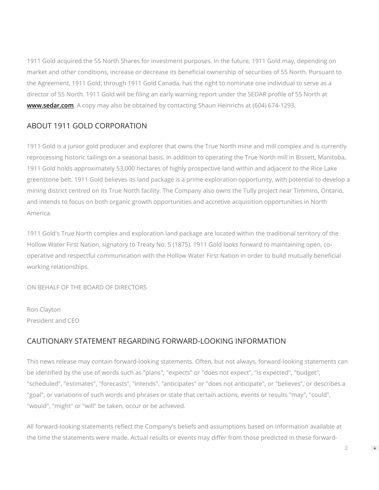1911 Gold acquired the 55 North Shares for investment purposes. In the future, 1911 Gold may, depending on market and other conditions, increase or decrease its beneficial ownership of securities of 55 North. Pursuant to the Agreement, 1911 Gold, through 1911 Gold Canada, has the right to nominate one individual to serve as a director of 55 North. 1911 Gold will be filing an early warning report under the SEDAR profile of 55 North at **[www.sedar.com](http://www.sedar.com/)**. A copy may also be obtained by contacting Shaun Heinrichs at (604) 674-1293.

## ABOUT 1911 GOLD CORPORATION

1911 Gold is a junior gold producer and explorer that owns the True North mine and mill complex and is currently reprocessing historic tailings on a seasonal basis. In addition to operating the True North mill in Bissett, Manitoba, 1911 Gold holds approximately 53,000 hectares of highly prospective land within and adjacent to the Rice Lake greenstone belt. 1911 Gold believes its land package is a prime exploration opportunity, with potential to develop a mining district centred on its True North facility. The Company also owns the Tully project near Timmins, Ontario, and intends to focus on both organic growth opportunities and accretive acquisition opportunities in North America.

1911 Gold's True North complex and exploration land package are located within the traditional territory of the Hollow Water First Nation, signatory to Treaty No. 5 (1875). 1911 Gold looks forward to maintaining open, cooperative and respectful communication with the Hollow Water First Nation in order to build mutually benecial working relationships.

ON BEHALF OF THE BOARD OF DIRECTORS

Ron Clayton President and CEO

## CAUTIONARY STATEMENT REGARDING FORWARD-LOOKING INFORMATION

This news release may contain forward-looking statements. Often, but not always, forward-looking statements can be identified by the use of words such as "plans", "expects" or "does not expect", "is expected", "budget", "scheduled", "estimates", "forecasts", "intends", "anticipates" or "does not anticipate", or "believes", or describes a "goal", or variations of such words and phrases or state that certain actions, events or results "may", "could", "would", "might" or "will" be taken, occur or be achieved.

All forward-looking statements reflect the Company's beliefs and assumptions based on information available at the time the statements were made. Actual results or events may differ from those predicted in these forward-

2

 $\Rightarrow$